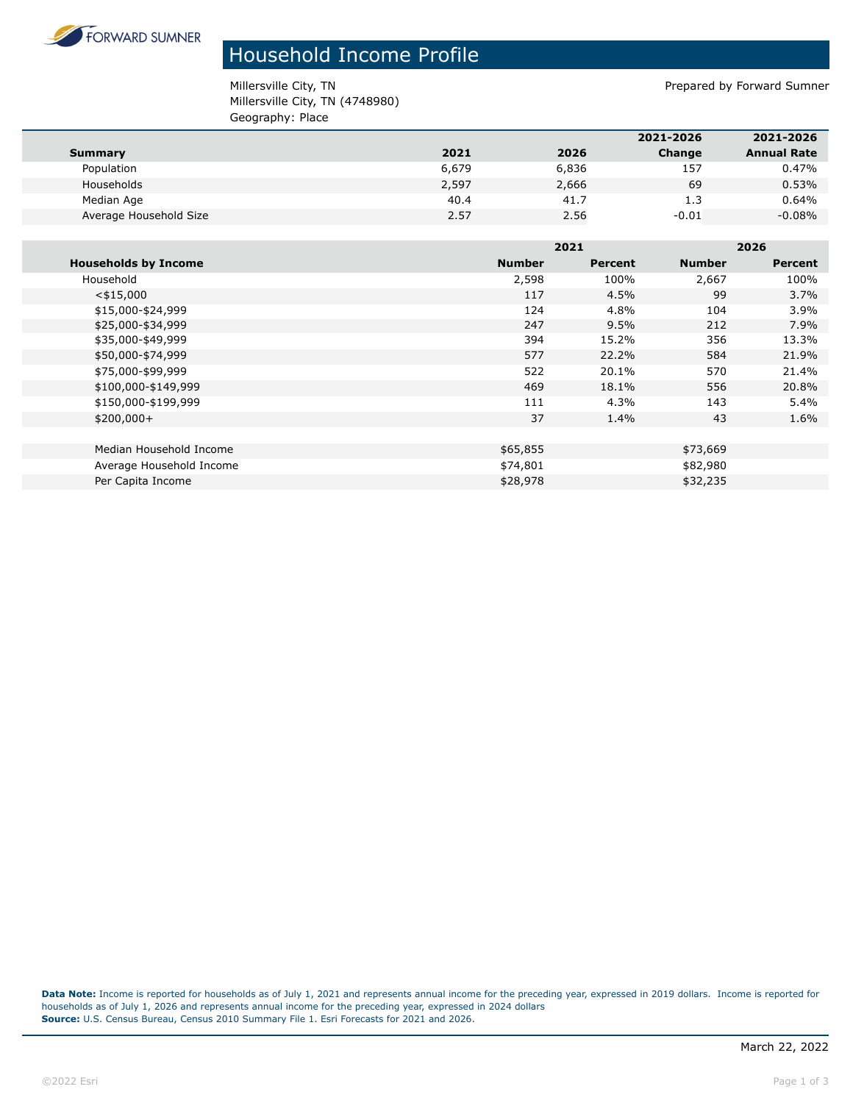

## Household Income Profile

Millersville City, TN **Prepared by Forward Sumner** Millersville City, TN (4748980) Geography: Place

|                        |       |       | 2021-2026 | 2021-2026          |
|------------------------|-------|-------|-----------|--------------------|
| Summary                | 2021  | 2026  | Change    | <b>Annual Rate</b> |
| Population             | 6,679 | 6,836 | 157       | 0.47%              |
| Households             | 2,597 | 2,666 | 69        | 0.53%              |
| Median Age             | 40.4  | 41.7  | 1.3       | 0.64%              |
| Average Household Size | 2.57  | 2.56  | $-0.01$   | $-0.08%$           |

|                             |               | 2021    |               | 2026    |  |
|-----------------------------|---------------|---------|---------------|---------|--|
| <b>Households by Income</b> | <b>Number</b> | Percent | <b>Number</b> | Percent |  |
| Household                   | 2,598         | 100%    | 2,667         | 100%    |  |
| $<$ \$15,000                | 117           | 4.5%    | 99            | 3.7%    |  |
| \$15,000-\$24,999           | 124           | 4.8%    | 104           | 3.9%    |  |
| \$25,000-\$34,999           | 247           | 9.5%    | 212           | 7.9%    |  |
| \$35,000-\$49,999           | 394           | 15.2%   | 356           | 13.3%   |  |
| \$50,000-\$74,999           | 577           | 22.2%   | 584           | 21.9%   |  |
| \$75,000-\$99,999           | 522           | 20.1%   | 570           | 21.4%   |  |
| \$100,000-\$149,999         | 469           | 18.1%   | 556           | 20.8%   |  |
| \$150,000-\$199,999         | 111           | 4.3%    | 143           | 5.4%    |  |
| $$200,000+$                 | 37            | 1.4%    | 43            | 1.6%    |  |
|                             |               |         |               |         |  |
| Median Household Income     | \$65,855      |         | \$73,669      |         |  |
| Average Household Income    | \$74,801      |         | \$82,980      |         |  |
| Per Capita Income           | \$28,978      |         | \$32,235      |         |  |

**Data Note:** Income is reported for households as of July 1, 2021 and represents annual income for the preceding year, expressed in 2019 dollars. Income is reported for households as of July 1, 2026 and represents annual income for the preceding year, expressed in 2024 dollars **Source:** U.S. Census Bureau, Census 2010 Summary File 1. Esri Forecasts for 2021 and 2026.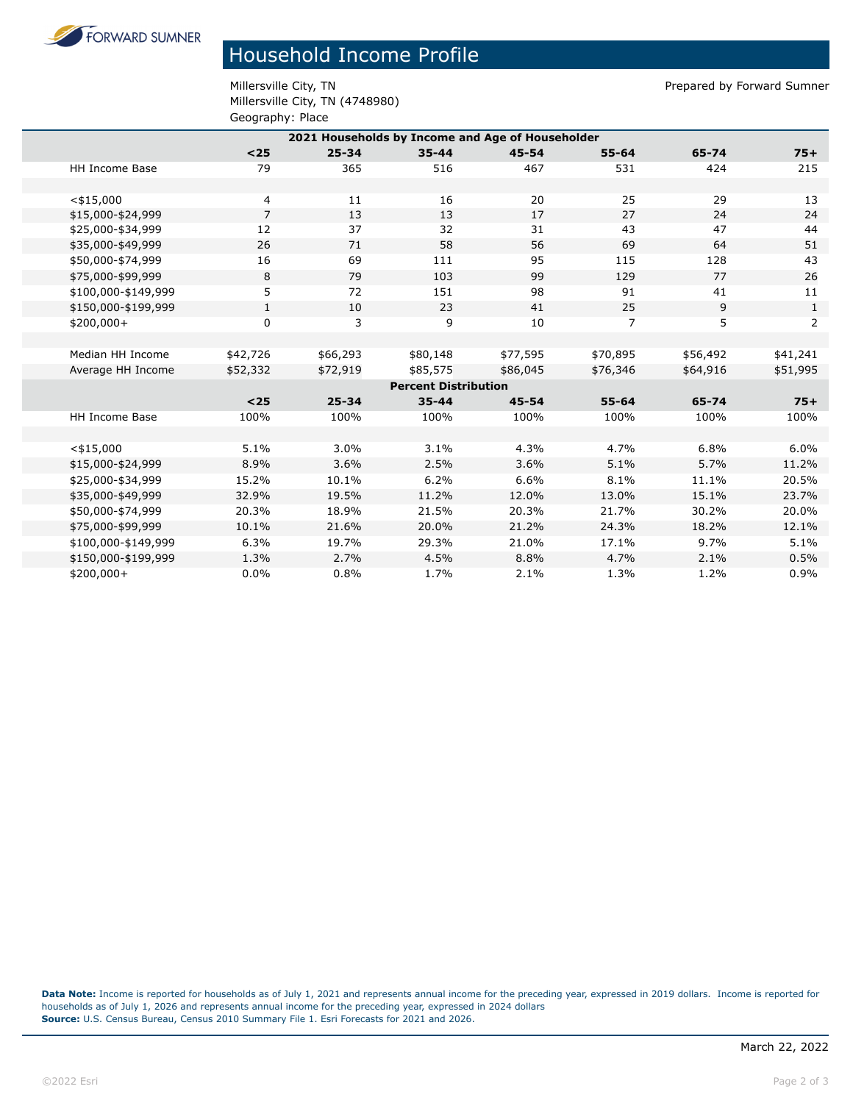**FORWARD SUMNER** 

## Household Income Profile

Millersville City, TN **Prepared by Forward Sumner** Millersville City, TN (4748980) Geography: Place

|                                                  | -- <i>-</i> -------- |           |           |           |                |          |              |  |  |
|--------------------------------------------------|----------------------|-----------|-----------|-----------|----------------|----------|--------------|--|--|
| 2021 Households by Income and Age of Householder |                      |           |           |           |                |          |              |  |  |
|                                                  | $25$                 | $25 - 34$ | $35 - 44$ | $45 - 54$ | $55 - 64$      | 65-74    | $75+$        |  |  |
| <b>HH Income Base</b>                            | 79                   | 365       | 516       | 467       | 531            | 424      | 215          |  |  |
|                                                  |                      |           |           |           |                |          |              |  |  |
| $<$ \$15,000                                     | 4                    | 11        | 16        | 20        | 25             | 29       | 13           |  |  |
| \$15,000-\$24,999                                | $\overline{7}$       | 13        | 13        | 17        | 27             | 24       | 24           |  |  |
| \$25,000-\$34,999                                | 12                   | 37        | 32        | 31        | 43             | 47       | 44           |  |  |
| \$35,000-\$49,999                                | 26                   | 71        | 58        | 56        | 69             | 64       | 51           |  |  |
| \$50,000-\$74,999                                | 16                   | 69        | 111       | 95        | 115            | 128      | 43           |  |  |
| \$75,000-\$99,999                                | 8                    | 79        | 103       | 99        | 129            | 77       | 26           |  |  |
| \$100,000-\$149,999                              | 5                    | 72        | 151       | 98        | 91             | 41       | 11           |  |  |
| \$150,000-\$199,999                              | $\mathbf{1}$         | 10        | 23        | 41        | 25             | 9        | $\mathbf{1}$ |  |  |
| $$200,000+$                                      | $\mathbf 0$          | 3         | 9         | 10        | $\overline{7}$ | 5        | 2            |  |  |
|                                                  |                      |           |           |           |                |          |              |  |  |
| Median HH Income                                 | \$42,726             | \$66,293  | \$80,148  | \$77,595  | \$70,895       | \$56,492 | \$41,241     |  |  |
| Average HH Income                                | \$52,332             | \$72,919  | \$85,575  | \$86,045  | \$76,346       | \$64,916 | \$51,995     |  |  |
| <b>Percent Distribution</b>                      |                      |           |           |           |                |          |              |  |  |
|                                                  | $25$                 | $25 - 34$ | $35 - 44$ | $45 - 54$ | $55 - 64$      | 65-74    | $75+$        |  |  |
| <b>HH Income Base</b>                            | 100%                 | 100%      | 100%      | 100%      | 100%           | 100%     | 100%         |  |  |
|                                                  |                      |           |           |           |                |          |              |  |  |
| $<$ \$15,000                                     | 5.1%                 | 3.0%      | 3.1%      | 4.3%      | 4.7%           | 6.8%     | 6.0%         |  |  |
| \$15,000-\$24,999                                | 8.9%                 | 3.6%      | 2.5%      | 3.6%      | 5.1%           | 5.7%     | 11.2%        |  |  |
| \$25,000-\$34,999                                | 15.2%                | 10.1%     | 6.2%      | 6.6%      | 8.1%           | 11.1%    | 20.5%        |  |  |
| \$35,000-\$49,999                                | 32.9%                | 19.5%     | 11.2%     | 12.0%     | 13.0%          | 15.1%    | 23.7%        |  |  |
| \$50,000-\$74,999                                | 20.3%                | 18.9%     | 21.5%     | 20.3%     | 21.7%          | 30.2%    | 20.0%        |  |  |
| \$75,000-\$99,999                                | 10.1%                | 21.6%     | 20.0%     | 21.2%     | 24.3%          | 18.2%    | 12.1%        |  |  |
| \$100,000-\$149,999                              | 6.3%                 | 19.7%     | 29.3%     | 21.0%     | 17.1%          | 9.7%     | 5.1%         |  |  |
| \$150,000-\$199,999                              | 1.3%                 | 2.7%      | 4.5%      | 8.8%      | 4.7%           | 2.1%     | 0.5%         |  |  |
| $$200,000+$                                      | 0.0%                 | 0.8%      | 1.7%      | 2.1%      | 1.3%           | 1.2%     | 0.9%         |  |  |

**Data Note:** Income is reported for households as of July 1, 2021 and represents annual income for the preceding year, expressed in 2019 dollars. Income is reported for households as of July 1, 2026 and represents annual income for the preceding year, expressed in 2024 dollars **Source:** U.S. Census Bureau, Census 2010 Summary File 1. Esri Forecasts for 2021 and 2026.